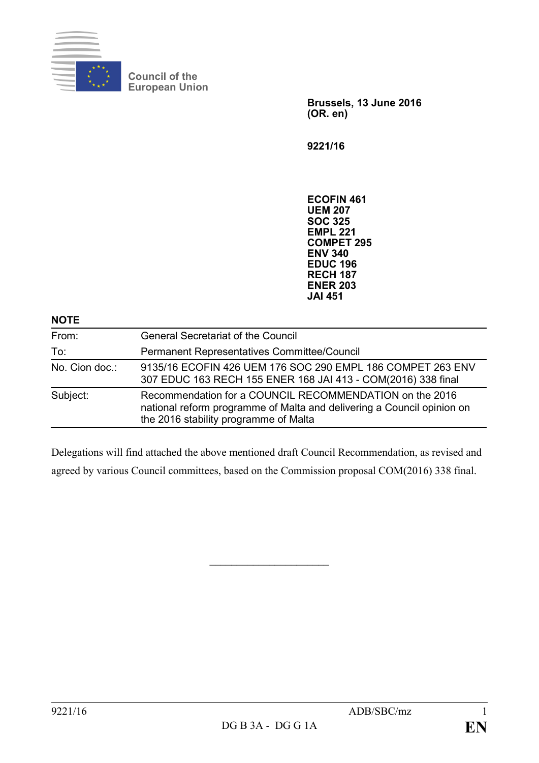

**Council of the European Union**

> **Brussels, 13 June 2016 (OR. en)**

**9221/16**

**ECOFIN 461 UEM 207 SOC 325 EMPL 221 COMPET 295 ENV 340 EDUC 196 RECH 187 ENER 203 JAI 451**

## **NOTE**

| From:          | <b>General Secretariat of the Council</b>                                                                                                                                  |
|----------------|----------------------------------------------------------------------------------------------------------------------------------------------------------------------------|
|                |                                                                                                                                                                            |
| To:            | Permanent Representatives Committee/Council                                                                                                                                |
| No. Cion doc.: | 9135/16 ECOFIN 426 UEM 176 SOC 290 EMPL 186 COMPET 263 ENV<br>307 EDUC 163 RECH 155 ENER 168 JAI 413 - COM(2016) 338 final                                                 |
| Subject:       | Recommendation for a COUNCIL RECOMMENDATION on the 2016<br>national reform programme of Malta and delivering a Council opinion on<br>the 2016 stability programme of Malta |

Delegations will find attached the above mentioned draft Council Recommendation, as revised and agreed by various Council committees, based on the Commission proposal COM(2016) 338 final.

 $\overline{\phantom{a}}$  , which is a set of the set of the set of the set of the set of the set of the set of the set of the set of the set of the set of the set of the set of the set of the set of the set of the set of the set of th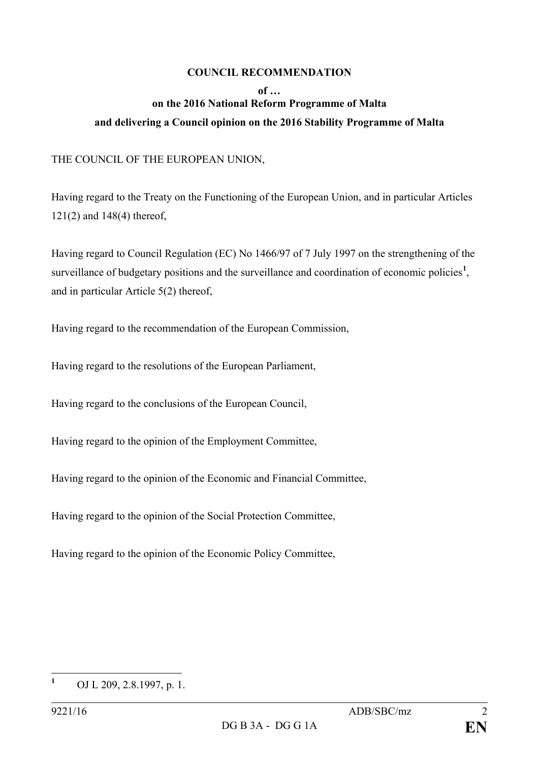## **COUNCIL RECOMMENDATION**

## **of … on the 2016 National Reform Programme of Malta and delivering a Council opinion on the 2016 Stability Programme of Malta**

THE COUNCIL OF THE EUROPEAN UNION,

Having regard to the Treaty on the Functioning of the European Union, and in particular Articles 121(2) and 148(4) thereof,

Having regard to Council Regulation (EC) No 1466/97 of 7 July 1997 on the strengthening of the surveillance of budgetary positions and the surveillance and coordination of economic policies<sup>[1](#page-1-0)</sup>, and in particular Article 5(2) thereof,

Having regard to the recommendation of the European Commission,

Having regard to the resolutions of the European Parliament,

Having regard to the conclusions of the European Council,

Having regard to the opinion of the Employment Committee,

Having regard to the opinion of the Economic and Financial Committee,

Having regard to the opinion of the Social Protection Committee,

Having regard to the opinion of the Economic Policy Committee,

<span id="page-1-0"></span>**<sup>1</sup>** OJ L 209, 2.8.1997, p. 1.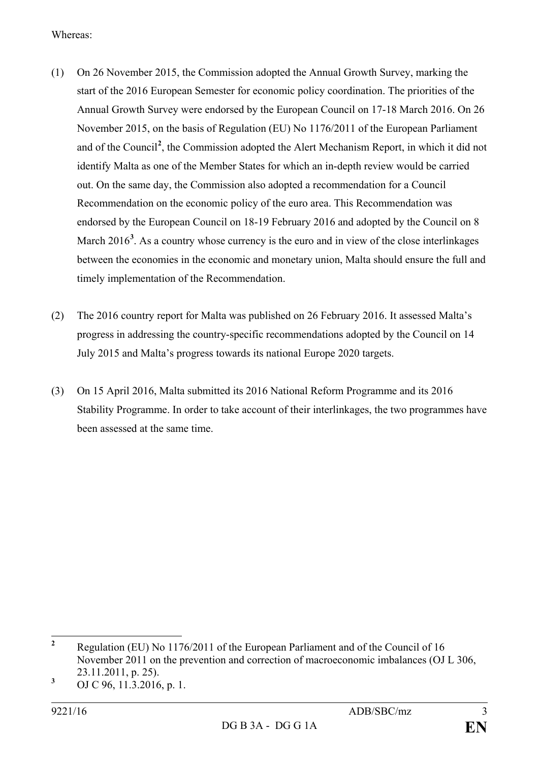Whereas:

- (1) On 26 November 2015, the Commission adopted the Annual Growth Survey, marking the start of the 2016 European Semester for economic policy coordination. The priorities of the Annual Growth Survey were endorsed by the European Council on 17-18 March 2016. On 26 November 2015, on the basis of Regulation (EU) No 1176/2011 of the European Parliament and of the Council**[2](#page-2-0)** , the Commission adopted the Alert Mechanism Report, in which it did not identify Malta as one of the Member States for which an in-depth review would be carried out. On the same day, the Commission also adopted a recommendation for a Council Recommendation on the economic policy of the euro area. This Recommendation was endorsed by the European Council on 18-19 February 2016 and adopted by the Council on 8 March 2016<sup>[3](#page-2-1)</sup>. As a country whose currency is the euro and in view of the close interlinkages between the economies in the economic and monetary union, Malta should ensure the full and timely implementation of the Recommendation.
- (2) The 2016 country report for Malta was published on 26 February 2016. It assessed Malta's progress in addressing the country-specific recommendations adopted by the Council on 14 July 2015 and Malta's progress towards its national Europe 2020 targets.
- (3) On 15 April 2016, Malta submitted its 2016 National Reform Programme and its 2016 Stability Programme. In order to take account of their interlinkages, the two programmes have been assessed at the same time.

<span id="page-2-0"></span>**<sup>2</sup>** Regulation (EU) No 1176/2011 of the European Parliament and of the Council of 16 November 2011 on the prevention and correction of macroeconomic imbalances (OJ L 306, 23.11.2011, p. 25).

<span id="page-2-1"></span>**<sup>3</sup>** OJ C 96, 11.3.2016, p. 1.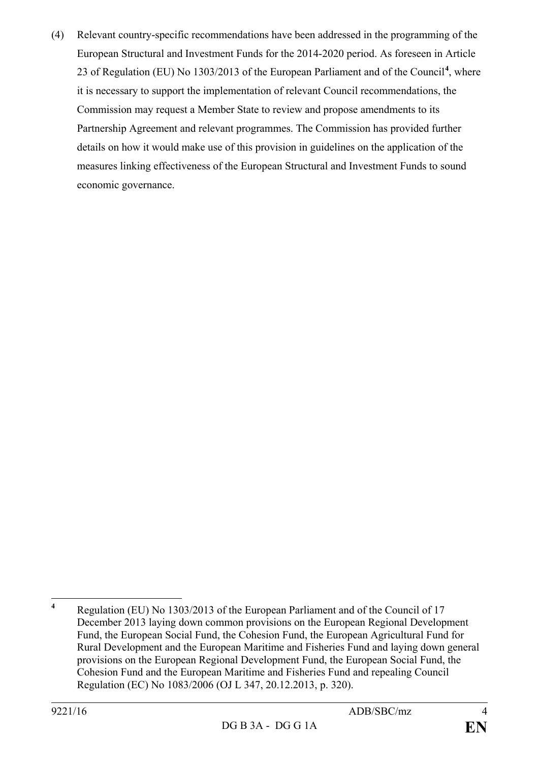(4) Relevant country-specific recommendations have been addressed in the programming of the European Structural and Investment Funds for the 2014-2020 period. As foreseen in Article 23 of Regulation (EU) No 1303/2013 of the European Parliament and of the Council**[4](#page-3-0)** , where it is necessary to support the implementation of relevant Council recommendations, the Commission may request a Member State to review and propose amendments to its Partnership Agreement and relevant programmes. The Commission has provided further details on how it would make use of this provision in guidelines on the application of the measures linking effectiveness of the European Structural and Investment Funds to sound economic governance.

<span id="page-3-0"></span>**<sup>4</sup>** Regulation (EU) No 1303/2013 of the European Parliament and of the Council of 17 December 2013 laying down common provisions on the European Regional Development Fund, the European Social Fund, the Cohesion Fund, the European Agricultural Fund for Rural Development and the European Maritime and Fisheries Fund and laying down general provisions on the European Regional Development Fund, the European Social Fund, the Cohesion Fund and the European Maritime and Fisheries Fund and repealing Council Regulation (EC) No 1083/2006 (OJ L 347, 20.12.2013, p. 320).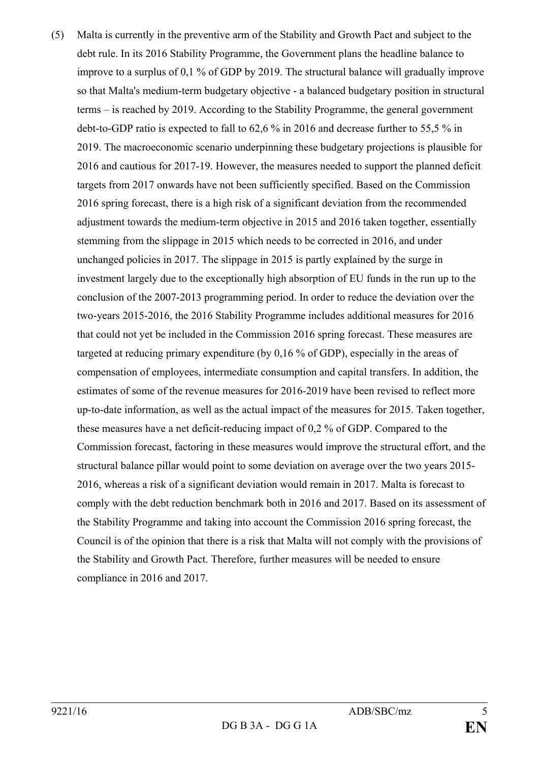(5) Malta is currently in the preventive arm of the Stability and Growth Pact and subject to the debt rule. In its 2016 Stability Programme, the Government plans the headline balance to improve to a surplus of 0,1 % of GDP by 2019. The structural balance will gradually improve so that Malta's medium-term budgetary objective - a balanced budgetary position in structural terms – is reached by 2019. According to the Stability Programme, the general government debt-to-GDP ratio is expected to fall to 62,6 % in 2016 and decrease further to 55,5 % in 2019. The macroeconomic scenario underpinning these budgetary projections is plausible for 2016 and cautious for 2017-19. However, the measures needed to support the planned deficit targets from 2017 onwards have not been sufficiently specified. Based on the Commission 2016 spring forecast, there is a high risk of a significant deviation from the recommended adjustment towards the medium-term objective in 2015 and 2016 taken together, essentially stemming from the slippage in 2015 which needs to be corrected in 2016, and under unchanged policies in 2017. The slippage in 2015 is partly explained by the surge in investment largely due to the exceptionally high absorption of EU funds in the run up to the conclusion of the 2007-2013 programming period. In order to reduce the deviation over the two-years 2015-2016, the 2016 Stability Programme includes additional measures for 2016 that could not yet be included in the Commission 2016 spring forecast. These measures are targeted at reducing primary expenditure (by 0,16 % of GDP), especially in the areas of compensation of employees, intermediate consumption and capital transfers. In addition, the estimates of some of the revenue measures for 2016-2019 have been revised to reflect more up-to-date information, as well as the actual impact of the measures for 2015. Taken together, these measures have a net deficit-reducing impact of 0,2 % of GDP. Compared to the Commission forecast, factoring in these measures would improve the structural effort, and the structural balance pillar would point to some deviation on average over the two years 2015- 2016, whereas a risk of a significant deviation would remain in 2017. Malta is forecast to comply with the debt reduction benchmark both in 2016 and 2017. Based on its assessment of the Stability Programme and taking into account the Commission 2016 spring forecast, the Council is of the opinion that there is a risk that Malta will not comply with the provisions of the Stability and Growth Pact. Therefore, further measures will be needed to ensure compliance in 2016 and 2017.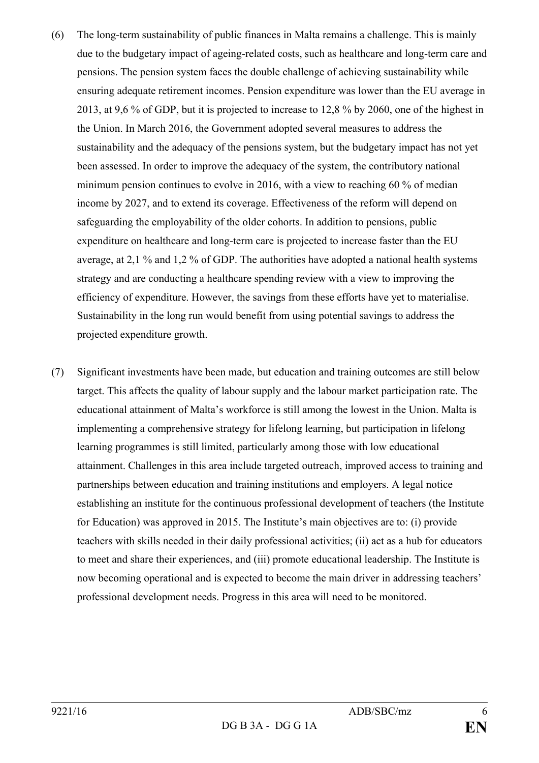- (6) The long-term sustainability of public finances in Malta remains a challenge. This is mainly due to the budgetary impact of ageing-related costs, such as healthcare and long-term care and pensions. The pension system faces the double challenge of achieving sustainability while ensuring adequate retirement incomes. Pension expenditure was lower than the EU average in 2013, at 9,6 % of GDP, but it is projected to increase to 12,8 % by 2060, one of the highest in the Union. In March 2016, the Government adopted several measures to address the sustainability and the adequacy of the pensions system, but the budgetary impact has not yet been assessed. In order to improve the adequacy of the system, the contributory national minimum pension continues to evolve in 2016, with a view to reaching 60 % of median income by 2027, and to extend its coverage. Effectiveness of the reform will depend on safeguarding the employability of the older cohorts. In addition to pensions, public expenditure on healthcare and long-term care is projected to increase faster than the EU average, at 2,1 % and 1,2 % of GDP. The authorities have adopted a national health systems strategy and are conducting a healthcare spending review with a view to improving the efficiency of expenditure. However, the savings from these efforts have yet to materialise. Sustainability in the long run would benefit from using potential savings to address the projected expenditure growth.
- (7) Significant investments have been made, but education and training outcomes are still below target. This affects the quality of labour supply and the labour market participation rate. The educational attainment of Malta's workforce is still among the lowest in the Union. Malta is implementing a comprehensive strategy for lifelong learning, but participation in lifelong learning programmes is still limited, particularly among those with low educational attainment. Challenges in this area include targeted outreach, improved access to training and partnerships between education and training institutions and employers. A legal notice establishing an institute for the continuous professional development of teachers (the Institute for Education) was approved in 2015. The Institute's main objectives are to: (i) provide teachers with skills needed in their daily professional activities; (ii) act as a hub for educators to meet and share their experiences, and (iii) promote educational leadership. The Institute is now becoming operational and is expected to become the main driver in addressing teachers' professional development needs. Progress in this area will need to be monitored.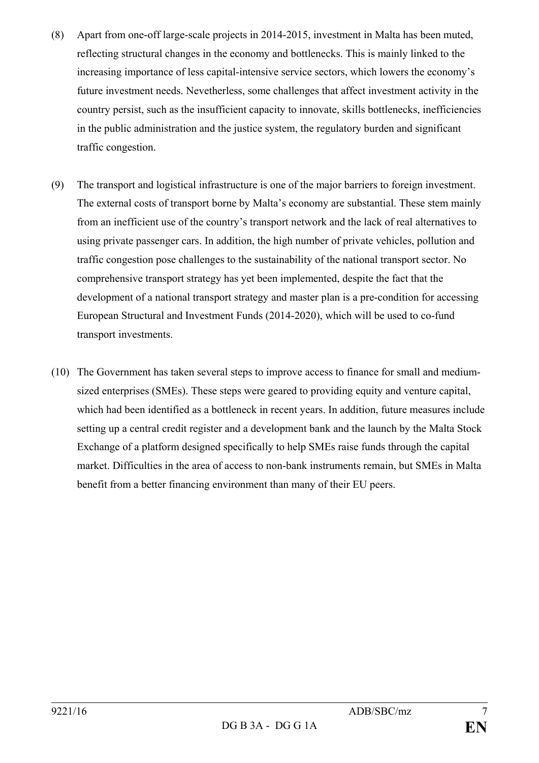- (8) Apart from one-off large-scale projects in 2014-2015, investment in Malta has been muted, reflecting structural changes in the economy and bottlenecks. This is mainly linked to the increasing importance of less capital-intensive service sectors, which lowers the economy's future investment needs. Nevetherless, some challenges that affect investment activity in the country persist, such as the insufficient capacity to innovate, skills bottlenecks, inefficiencies in the public administration and the justice system, the regulatory burden and significant traffic congestion.
- (9) The transport and logistical infrastructure is one of the major barriers to foreign investment. The external costs of transport borne by Malta's economy are substantial. These stem mainly from an inefficient use of the country's transport network and the lack of real alternatives to using private passenger cars. In addition, the high number of private vehicles, pollution and traffic congestion pose challenges to the sustainability of the national transport sector. No comprehensive transport strategy has yet been implemented, despite the fact that the development of a national transport strategy and master plan is a pre-condition for accessing European Structural and Investment Funds (2014-2020), which will be used to co-fund transport investments.
- (10) The Government has taken several steps to improve access to finance for small and mediumsized enterprises (SMEs). These steps were geared to providing equity and venture capital, which had been identified as a bottleneck in recent years. In addition, future measures include setting up a central credit register and a development bank and the launch by the Malta Stock Exchange of a platform designed specifically to help SMEs raise funds through the capital market. Difficulties in the area of access to non-bank instruments remain, but SMEs in Malta benefit from a better financing environment than many of their EU peers.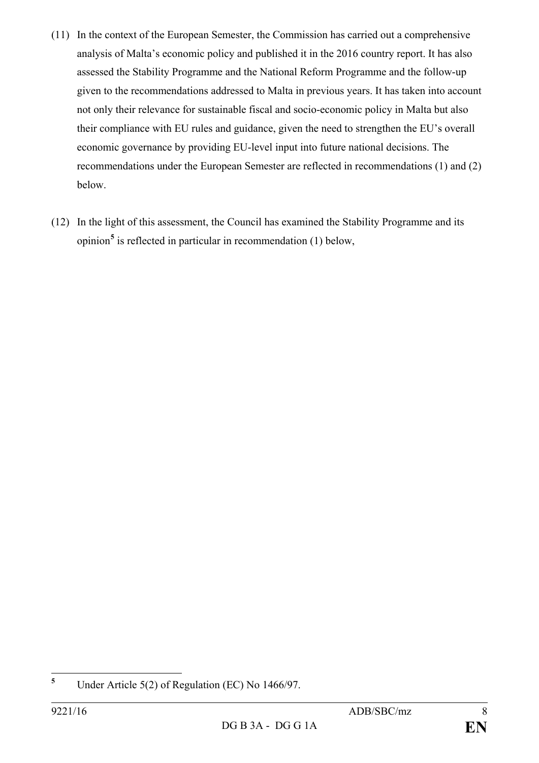- (11) In the context of the European Semester, the Commission has carried out a comprehensive analysis of Malta's economic policy and published it in the 2016 country report. It has also assessed the Stability Programme and the National Reform Programme and the follow-up given to the recommendations addressed to Malta in previous years. It has taken into account not only their relevance for sustainable fiscal and socio-economic policy in Malta but also their compliance with EU rules and guidance, given the need to strengthen the EU's overall economic governance by providing EU-level input into future national decisions. The recommendations under the European Semester are reflected in recommendations (1) and (2) below.
- (12) In the light of this assessment, the Council has examined the Stability Programme and its opinion**[5](#page-7-0)** is reflected in particular in recommendation (1) below,

<span id="page-7-0"></span>**<sup>5</sup>** Under Article 5(2) of Regulation (EC) No 1466/97.